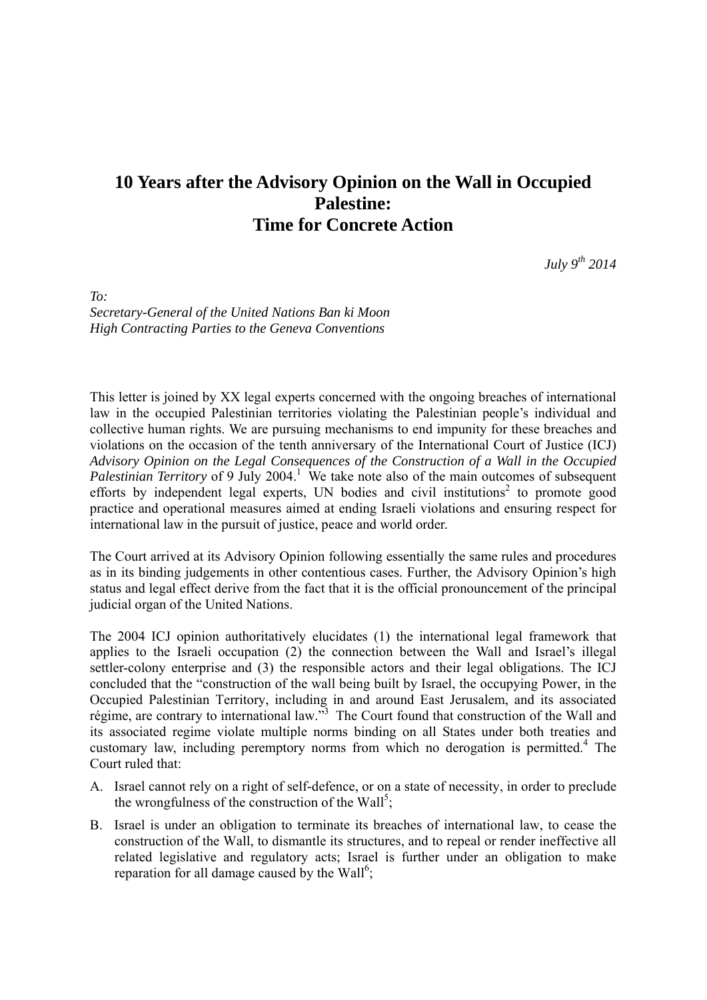## **10 Years after the Advisory Opinion on the Wall in Occupied Palestine: Time for Concrete Action**

*July 9th 2014* 

*To: Secretary-General of the United Nations Ban ki Moon High Contracting Parties to the Geneva Conventions* 

This letter is joined by XX legal experts concerned with the ongoing breaches of international law in the occupied Palestinian territories violating the Palestinian people's individual and collective human rights. We are pursuing mechanisms to end impunity for these breaches and violations on the occasion of the tenth anniversary of the International Court of Justice (ICJ) *Advisory Opinion on the Legal Consequences of the Construction of a Wall in the Occupied*  Palestinian Territory of 9 July 2004.<sup>1</sup> We take note also of the main outcomes of subsequent efforts by independent legal experts, UN bodies and civil institutions<sup>2</sup> to promote good practice and operational measures aimed at ending Israeli violations and ensuring respect for international law in the pursuit of justice, peace and world order.

The Court arrived at its Advisory Opinion following essentially the same rules and procedures as in its binding judgements in other contentious cases. Further, the Advisory Opinion's high status and legal effect derive from the fact that it is the official pronouncement of the principal judicial organ of the United Nations.

The 2004 ICJ opinion authoritatively elucidates (1) the international legal framework that applies to the Israeli occupation (2) the connection between the Wall and Israel's illegal settler-colony enterprise and (3) the responsible actors and their legal obligations. The ICJ concluded that the "construction of the wall being built by Israel, the occupying Power, in the Occupied Palestinian Territory, including in and around East Jerusalem, and its associated régime, are contrary to international law."<sup>3</sup> The Court found that construction of the Wall and its associated regime violate multiple norms binding on all States under both treaties and customary law, including peremptory norms from which no derogation is permitted.<sup>4</sup> The Court ruled that:

- A. Israel cannot rely on a right of self-defence, or on a state of necessity, in order to preclude the wrongfulness of the construction of the Wall<sup>5</sup>;
- B. Israel is under an obligation to terminate its breaches of international law, to cease the construction of the Wall, to dismantle its structures, and to repeal or render ineffective all related legislative and regulatory acts; Israel is further under an obligation to make reparation for all damage caused by the Wall<sup>6</sup>;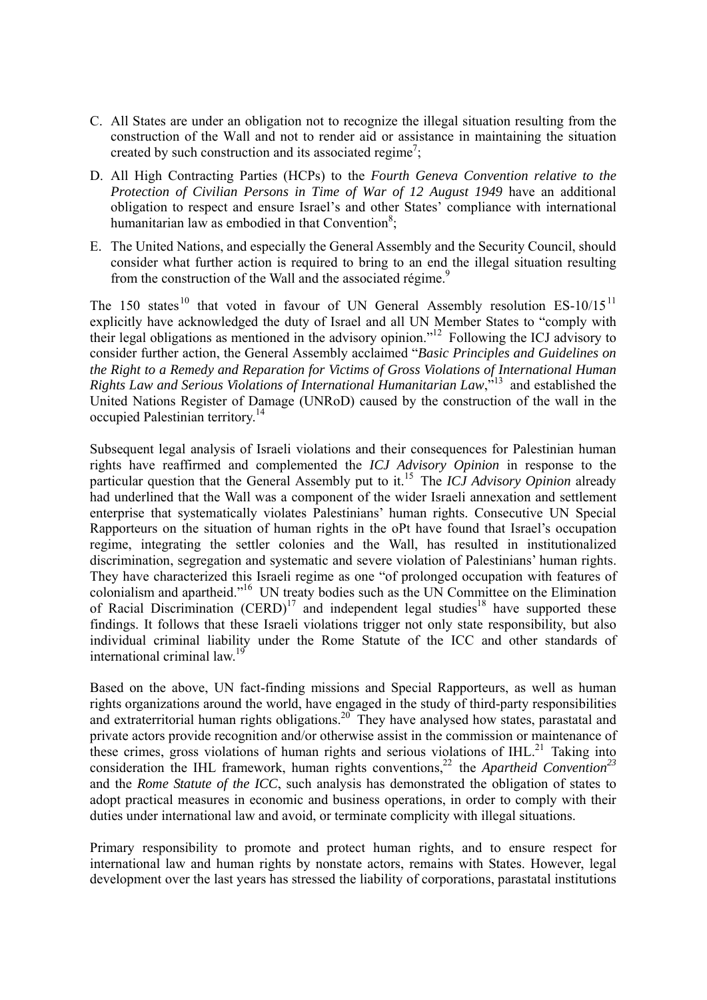- C. All States are under an obligation not to recognize the illegal situation resulting from the construction of the Wall and not to render aid or assistance in maintaining the situation created by such construction and its associated regime<sup>7</sup>;
- D. All High Contracting Parties (HCPs) to the *Fourth Geneva Convention relative to the Protection of Civilian Persons in Time of War of 12 August 1949* have an additional obligation to respect and ensure Israel's and other States' compliance with international humanitarian law as embodied in that Convention<sup>8</sup>;
- E. The United Nations, and especially the General Assembly and the Security Council, should consider what further action is required to bring to an end the illegal situation resulting from the construction of the Wall and the associated régime.<sup>9</sup>

The 150 states<sup>10</sup> that voted in favour of UN General Assembly resolution  $ES-10/15<sup>11</sup>$ explicitly have acknowledged the duty of Israel and all UN Member States to "comply with their legal obligations as mentioned in the advisory opinion."12 Following the ICJ advisory to consider further action, the General Assembly acclaimed "*Basic Principles and Guidelines on the Right to a Remedy and Reparation for Victims of Gross Violations of International Human Rights Law and Serious Violations of International Humanitarian Law*,"13 and established the United Nations Register of Damage (UNRoD) caused by the construction of the wall in the occupied Palestinian territory.14

Subsequent legal analysis of Israeli violations and their consequences for Palestinian human rights have reaffirmed and complemented the *ICJ Advisory Opinion* in response to the particular question that the General Assembly put to it.15 The *ICJ Advisory Opinion* already had underlined that the Wall was a component of the wider Israeli annexation and settlement enterprise that systematically violates Palestinians' human rights. Consecutive UN Special Rapporteurs on the situation of human rights in the oPt have found that Israel's occupation regime, integrating the settler colonies and the Wall, has resulted in institutionalized discrimination, segregation and systematic and severe violation of Palestinians' human rights. They have characterized this Israeli regime as one "of prolonged occupation with features of colonialism and apartheid."16 UN treaty bodies such as the UN Committee on the Elimination of Racial Discrimination  $(CERD)^{17}$  and independent legal studies<sup>18</sup> have supported these findings. It follows that these Israeli violations trigger not only state responsibility, but also individual criminal liability under the Rome Statute of the ICC and other standards of international criminal law.<sup>19</sup>

Based on the above, UN fact-finding missions and Special Rapporteurs, as well as human rights organizations around the world, have engaged in the study of third-party responsibilities and extraterritorial human rights obligations.<sup>20</sup> They have analysed how states, parastatal and private actors provide recognition and/or otherwise assist in the commission or maintenance of these crimes, gross violations of human rights and serious violations of  $IHL$ <sup>21</sup> Taking into consideration the IHL framework, human rights conventions,<sup>22</sup> the *Apartheid Convention*<sup>23</sup> and the *Rome Statute of the ICC*, such analysis has demonstrated the obligation of states to adopt practical measures in economic and business operations, in order to comply with their duties under international law and avoid, or terminate complicity with illegal situations.

Primary responsibility to promote and protect human rights, and to ensure respect for international law and human rights by nonstate actors, remains with States. However, legal development over the last years has stressed the liability of corporations, parastatal institutions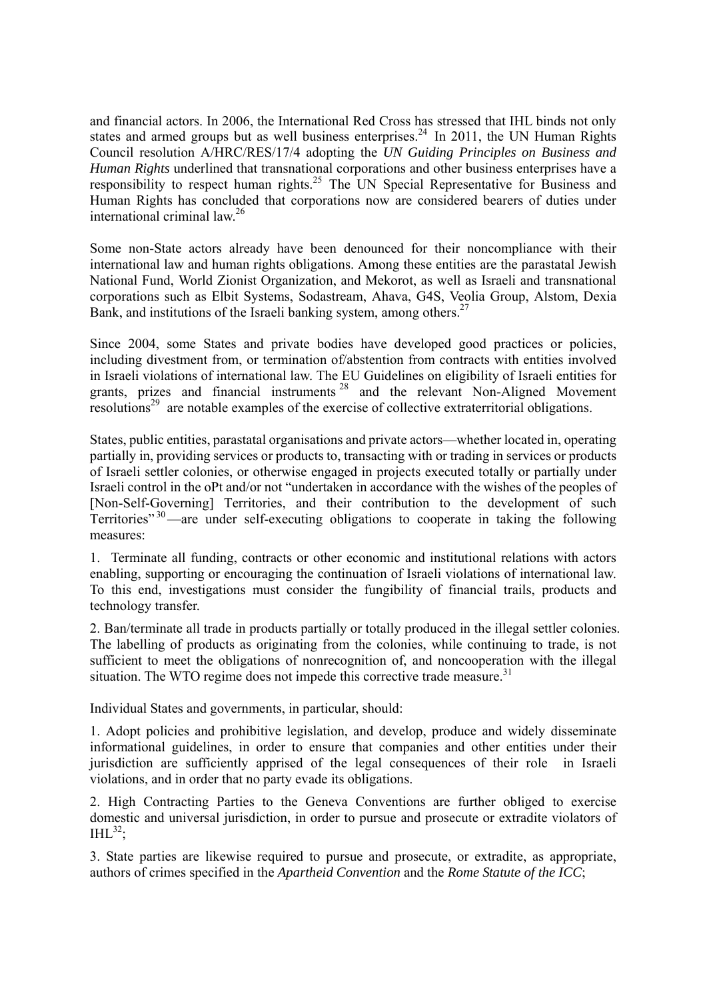and financial actors. In 2006, the International Red Cross has stressed that IHL binds not only states and armed groups but as well business enterprises.<sup>24</sup> In 2011, the UN Human Rights Council resolution A/HRC/RES/17/4 adopting the *UN Guiding Principles on Business and Human Rights* underlined that transnational corporations and other business enterprises have a responsibility to respect human rights.<sup>25</sup> The UN Special Representative for Business and Human Rights has concluded that corporations now are considered bearers of duties under international criminal law.<sup>26</sup>

Some non-State actors already have been denounced for their noncompliance with their international law and human rights obligations. Among these entities are the parastatal Jewish National Fund, World Zionist Organization, and Mekorot, as well as Israeli and transnational corporations such as Elbit Systems, Sodastream, Ahava, G4S, Veolia Group, Alstom, Dexia Bank, and institutions of the Israeli banking system, among others.<sup>27</sup>

Since 2004, some States and private bodies have developed good practices or policies, including divestment from, or termination of/abstention from contracts with entities involved in Israeli violations of international law. The EU Guidelines on eligibility of Israeli entities for grants, prizes and financial instruments <sup>28</sup> and the relevant Non-Aligned Movement resolutions<sup>29</sup> are notable examples of the exercise of collective extraterritorial obligations.

States, public entities, parastatal organisations and private actors—whether located in, operating partially in, providing services or products to, transacting with or trading in services or products of Israeli settler colonies, or otherwise engaged in projects executed totally or partially under Israeli control in the oPt and/or not "undertaken in accordance with the wishes of the peoples of [Non-Self-Governing] Territories, and their contribution to the development of such Territories<sup> $30$ </sup>—are under self-executing obligations to cooperate in taking the following measures:

1. Terminate all funding, contracts or other economic and institutional relations with actors enabling, supporting or encouraging the continuation of Israeli violations of international law. To this end, investigations must consider the fungibility of financial trails, products and technology transfer.

2. Ban/terminate all trade in products partially or totally produced in the illegal settler colonies. The labelling of products as originating from the colonies, while continuing to trade, is not sufficient to meet the obligations of nonrecognition of, and noncooperation with the illegal situation. The WTO regime does not impede this corrective trade measure.<sup>31</sup>

Individual States and governments, in particular, should:

1. Adopt policies and prohibitive legislation, and develop, produce and widely disseminate informational guidelines, in order to ensure that companies and other entities under their jurisdiction are sufficiently apprised of the legal consequences of their role in Israeli violations, and in order that no party evade its obligations.

2. High Contracting Parties to the Geneva Conventions are further obliged to exercise domestic and universal jurisdiction, in order to pursue and prosecute or extradite violators of  $IHL^{32}$ ;

3. State parties are likewise required to pursue and prosecute, or extradite, as appropriate, authors of crimes specified in the *Apartheid Convention* and the *Rome Statute of the ICC*;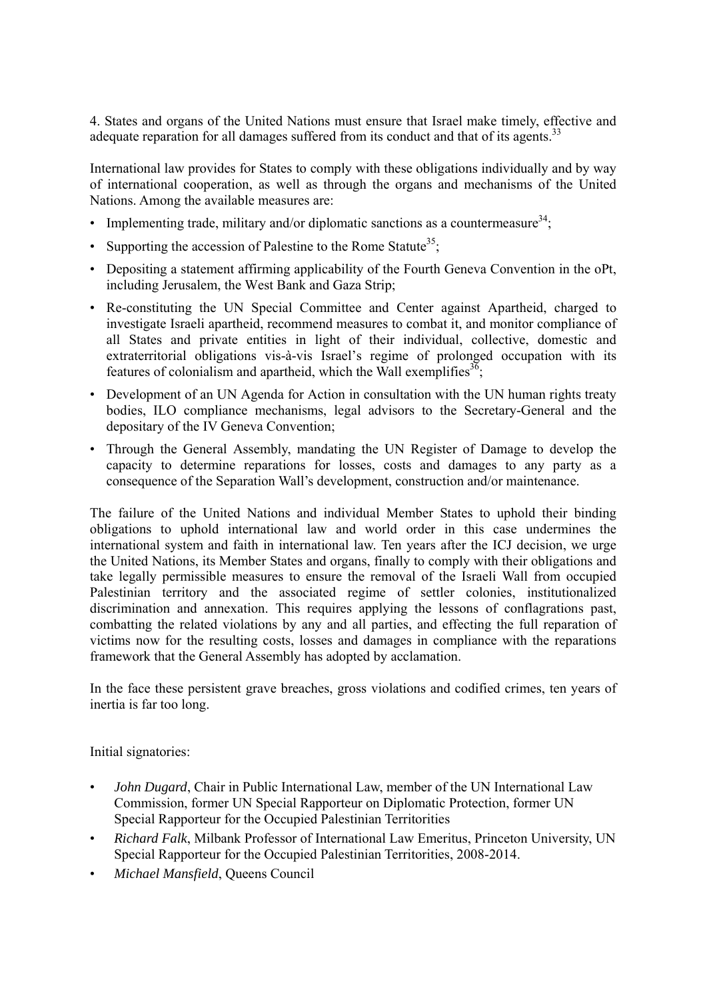4. States and organs of the United Nations must ensure that Israel make timely, effective and adequate reparation for all damages suffered from its conduct and that of its agents.<sup>33</sup>

International law provides for States to comply with these obligations individually and by way of international cooperation, as well as through the organs and mechanisms of the United Nations. Among the available measures are:

- Implementing trade, military and/or diplomatic sanctions as a countermeasure<sup>34</sup>;
- Supporting the accession of Palestine to the Rome Statute<sup>35</sup>:
- Depositing a statement affirming applicability of the Fourth Geneva Convention in the oPt. including Jerusalem, the West Bank and Gaza Strip;
- Re-constituting the UN Special Committee and Center against Apartheid, charged to investigate Israeli apartheid, recommend measures to combat it, and monitor compliance of all States and private entities in light of their individual, collective, domestic and extraterritorial obligations vis-à-vis Israel's regime of prolonged occupation with its features of colonialism and apartheid, which the Wall exemplifies  $3\overline{6}$ ;
- Development of an UN Agenda for Action in consultation with the UN human rights treaty bodies, ILO compliance mechanisms, legal advisors to the Secretary-General and the depositary of the IV Geneva Convention;
- Through the General Assembly, mandating the UN Register of Damage to develop the capacity to determine reparations for losses, costs and damages to any party as a consequence of the Separation Wall's development, construction and/or maintenance.

The failure of the United Nations and individual Member States to uphold their binding obligations to uphold international law and world order in this case undermines the international system and faith in international law. Ten years after the ICJ decision, we urge the United Nations, its Member States and organs, finally to comply with their obligations and take legally permissible measures to ensure the removal of the Israeli Wall from occupied Palestinian territory and the associated regime of settler colonies, institutionalized discrimination and annexation. This requires applying the lessons of conflagrations past, combatting the related violations by any and all parties, and effecting the full reparation of victims now for the resulting costs, losses and damages in compliance with the reparations framework that the General Assembly has adopted by acclamation.

In the face these persistent grave breaches, gross violations and codified crimes, ten years of inertia is far too long.

Initial signatories:

- *John Dugard*, Chair in Public International Law, member of the UN International Law Commission, former UN Special Rapporteur on Diplomatic Protection, former UN Special Rapporteur for the Occupied Palestinian Territorities
- *Richard Falk*, Milbank Professor of International Law Emeritus, Princeton University, UN Special Rapporteur for the Occupied Palestinian Territorities, 2008-2014.
- *Michael Mansfield*, Queens Council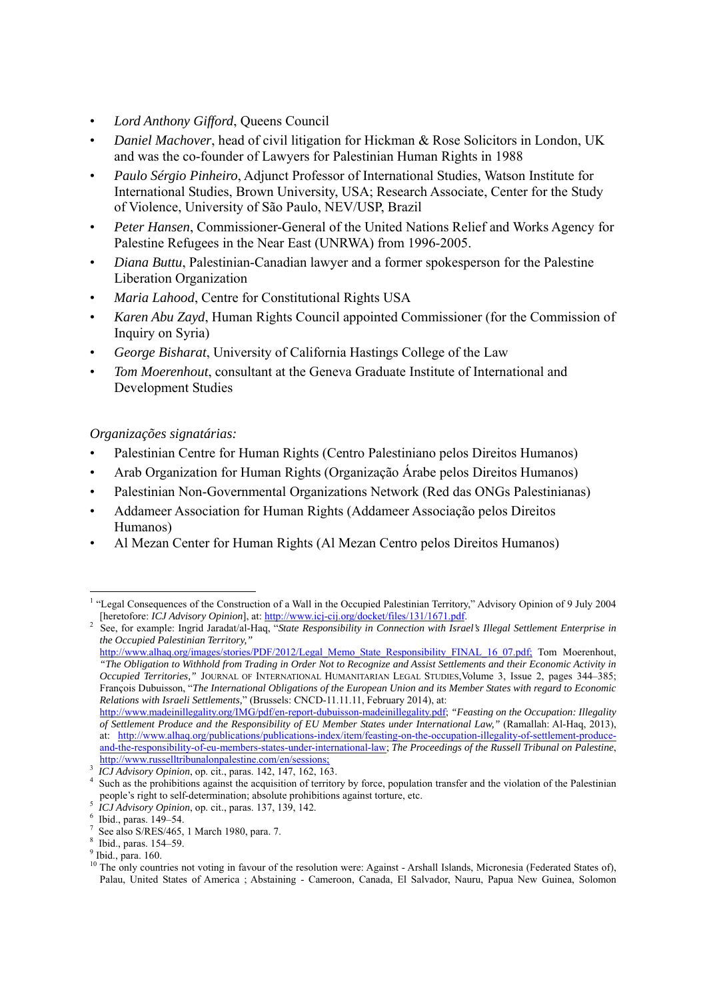- *Lord Anthony Gifford*, Queens Council
- *Daniel Machover*, head of civil litigation for Hickman & Rose Solicitors in London, UK and was the co-founder of Lawyers for Palestinian Human Rights in 1988
- *Paulo Sérgio Pinheiro*, Adjunct Professor of International Studies, Watson Institute for International Studies, Brown University, USA; Research Associate, Center for the Study of Violence, University of São Paulo, NEV/USP, Brazil
- *Peter Hansen*, Commissioner-General of the United Nations Relief and Works Agency for Palestine Refugees in the Near East (UNRWA) from 1996-2005.
- *Diana Buttu*, Palestinian-Canadian lawyer and a former spokesperson for the Palestine Liberation Organization
- *Maria Lahood*, Centre for Constitutional Rights USA
- *Karen Abu Zayd*, Human Rights Council appointed Commissioner (for the Commission of Inquiry on Syria)
- *George Bisharat*, University of California Hastings College of the Law
- *Tom Moerenhout*, consultant at the Geneva Graduate Institute of International and Development Studies

## *Organizações signatárias:*

- Palestinian Centre for Human Rights (Centro Palestiniano pelos Direitos Humanos)
- Arab Organization for Human Rights (Organização Árabe pelos Direitos Humanos)
- Palestinian Non-Governmental Organizations Network (Red das ONGs Palestinianas)
- Addameer Association for Human Rights (Addameer Associação pelos Direitos Humanos)
- Al Mezan Center for Human Rights (Al Mezan Centro pelos Direitos Humanos)

<sup>-</sup><sup>1</sup> "Legal Consequences of the Construction of a Wall in the Occupied Palestinian Territory," Advisory Opinion of 9 July 2004 [heretofore: *ICJ Advisory Opinion*], at: http://www.icj-cij.org/docket/files/131/1671.pdf.

See, for example: Ingrid Jaradat/al-Haq, "*State Responsibility in Connection with Israel's Illegal Settlement Enterprise in the Occupied Palestinian Territory,"*

http://www.alhaq.org/images/stories/PDF/2012/Legal\_Memo\_State\_Responsibility\_FINAL\_16\_07.pdf; Tom Moerenhout, *"The Obligation to Withhold from Trading in Order Not to Recognize and Assist Settlements and their Economic Activity in Occupied Territories,"* JOURNAL OF INTERNATIONAL HUMANITARIAN LEGAL STUDIES,Volume 3, Issue 2, pages 344–385; François Dubuisson, "*The International Obligations of the European Union and its Member States with regard to Economic Relations with Israeli Settlements,*" (Brussels: CNCD-11.11.11, February 2014), at:

http://www.madeinillegality.org/IMG/pdf/en-report-dubuisson-madeinillegality.pdf; *"Feasting on the Occupation: Illegality of Settlement Produce and the Responsibility of EU Member States under International Law,"* (Ramallah: Al-Haq, 2013), at: http://www.alhaq.org/publications/publications-index/item/feasting-on-the-occupation-illegality-of-settlement-produceand-the-responsibility-of-eu-members-states-under-international-law; *The Proceedings of the Russell Tribunal on Palestine*, http://www.russelltribunalonpalestine.com/en/sessions;

<sup>&</sup>lt;sup>3</sup> *ICJ Advisory Opinion*, op. cit., paras. 142, 147, 162, 163.

<sup>&</sup>lt;sup>4</sup> Such as the prohibitions against the acquisition of territory by force, population transfer and the violation of the Palestinian people's right to self-determination; absolute prohibitions against torture, etc. 5

<sup>&</sup>lt;sup>5</sup> *ICJ Advisory Opinion*, op. cit., paras. 137, 139, 142.

 $6$  Ibid., paras. 149-54.

<sup>7</sup> See also S/RES/465, 1 March 1980, para. 7.

<sup>8</sup> Ibid., paras. 154–59.

<sup>&</sup>lt;sup>9</sup> Ibid., para. 160.

<sup>&</sup>lt;sup>10</sup> The only countries not voting in favour of the resolution were: Against - Arshall Islands, Micronesia (Federated States of), Palau, United States of America ; Abstaining - Cameroon, Canada, El Salvador, Nauru, Papua New Guinea, Solomon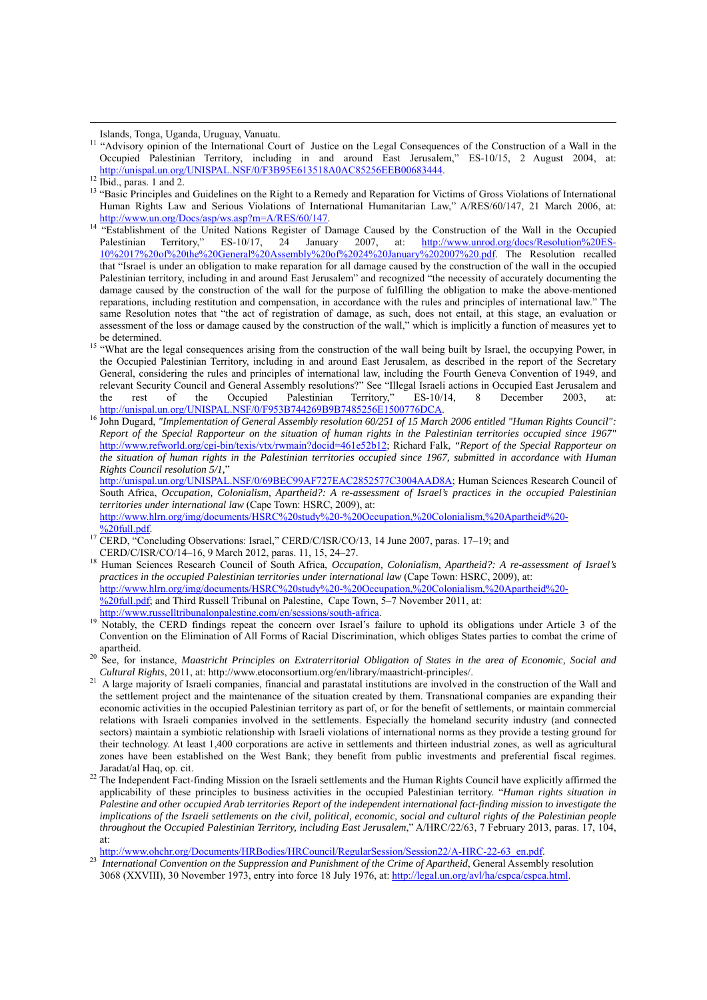Islands, Tonga, Uganda, Uruguay, Vanuatu. 11 "Advisory opinion of the International Court of Justice on the Legal Consequences of the Construction of a Wall in the Occupied Palestinian Territory, including in and around East Jerusalem," ES-10/15, 2 August 2004, at: http://unispal.un.org/UNISPAL.NSF/0/F3B95E613518A0AC85256EEB00683444.<br><sup>12</sup> Ibid., paras. 1 and 2.

- <sup>13</sup> "Basic Principles and Guidelines on the Right to a Remedy and Reparation for Victims of Gross Violations of International Human Rights Law and Serious Violations of International Humanitarian Law," A/RES/60/147, 21 March 2006, at:
- http://www.un.org/Docs/asp/ws.asp?m=A/RES/60/147.<br><sup>14</sup> "Establishment of the United Nations Register of Damage Caused by the Construction of the Wall in the Occupied<br>Palestinian Territory." ES-10/17, 24 January 2007. at: h Palestinian Territory," ES-10/17, 24 January 2007, at: http://www.unrod.org/docs/Resolution%20ES-10%2017%20of%20the%20General%20Assembly%20of%2024%20January%202007%20.pdf. The Resolution recalled that "Israel is under an obligation to make reparation for all damage caused by the construction of the wall in the occupied Palestinian territory, including in and around East Jerusalem" and recognized "the necessity of accurately documenting the damage caused by the construction of the wall for the purpose of fulfilling the obligation to make the above-mentioned reparations, including restitution and compensation, in accordance with the rules and principles of international law." The same Resolution notes that "the act of registration of damage, as such, does not entail, at this stage, an evaluation or assessment of the loss or damage caused by the construction of the wall," which is implicitly a function of measures yet to
- be determined.<br><sup>15</sup> "What are the legal consequences arising from the construction of the wall being built by Israel, the occupying Power, in the Occupied Palestinian Territory, including in and around East Jerusalem, as described in the report of the Secretary General, considering the rules and principles of international law, including the Fourth Geneva Convention of 1949, and relevant Security Council and General Assembly resolutions?" See "Illegal Israeli actions in Occupied East Jerusalem and the rest of the Occupied Palestinian Territory." ES-10/14. 8 December 2003. at: the rest of the Occupied Palestinian Territory," ES-10/14, 8 December 2003, at:<br>http://unispal.un.org/UNISPAL.NSF/0/F953B744269B9B7485256E1500776DCA.
- <sup>16</sup> John Dugard, "Implementation of General Assembly resolution 60/251 of 15 March 2006 entitled "Human Rights Council": *Report of the Special Rapporteur on the situation of human rights in the Palestinian territories occupied since 1967"* http://www.refworld.org/cgi-bin/texis/vtx/rwmain?docid=461e52b12; Richard Falk, *"Report of the Special Rapporteur on the situation of human rights in the Palestinian territories occupied since 1967, submitted in accordance with Human Rights Council resolution 5/1,*"

http://unispal.un.org/UNISPAL.NSF/0/69BEC99AF727EAC2852577C3004AAD8A; Human Sciences Research Council of South Africa, *Occupation, Colonialism, Apartheid?: A re-assessment of Israel's practices in the occupied Palestinian territories under international law* (Cape Town: HSRC, 2009), at:

- http://www.hlrn.org/img/documents/HSRC%20study%20-%20Occupation,%20Colonialism,%20Apartheid%20- <sup>9</sup>/<sub>2</sub>20full.pdf.<br><sup>17</sup> CERD, "Concluding Observations: Israel," CERD/C/ISR/CO/13, 14 June 2007, paras. 17–19; and
- 
- CERD/C/ISR/CO/14–16, 9 March 2012, paras. 11, 15, 24–27. 18 Human Sciences Research Council of South Africa, *Occupation, Colonialism, Apartheid?: A re-assessment of Israel's practices in the occupied Palestinian territories under international law* (Cape Town: HSRC, 2009), at: http://www.hlrn.org/img/documents/HSRC%20study%20-%20Occupation,%20Colonialism,%20Apartheid%20-  $\frac{\%20 \text{ full.pdf}}{201}$ ; and Third Russell Tribunal on Palestine, Cape Town, 5–7 November 2011, at:
- http://www.russelltribunalonpalestine.com/en/sessions/south-africa.<br><sup>19</sup> Notably, the CERD findings repeat the concern over Israel's failure to uphold its obligations under Article 3 of the Convention on the Elimination of All Forms of Racial Discrimination, which obliges States parties to combat the crime of
- apartheid. 20 See, for instance, *Maastricht Principles on Extraterritorial Obligation of States in the area of Economic, Social and Cultural Rights*, 2011, at: http://www.etoconsortium.org/en/library/maastricht-principles/.<br><sup>21</sup> A large majority of Israeli companies. financial and parastatal institutions are involved in the construction of the Wall a
- the settlement project and the maintenance of the situation created by them. Transnational companies are expanding their economic activities in the occupied Palestinian territory as part of, or for the benefit of settlements, or maintain commercial relations with Israeli companies involved in the settlements. Especially the homeland security industry (and connected sectors) maintain a symbiotic relationship with Israeli violations of international norms as they provide a testing ground for their technology. At least 1,400 corporations are active in settlements and thirteen industrial zones, as well as agricultural zones have been established on the West Bank; they benefit from public investments and preferential fiscal regimes.
- Jaradat/al Haq, op. cit.  $^{22}$  The Independent Fact-finding Mission on the Israeli settlements and the Human Rights Council have explicitly affirmed the applicability of these principles to business activities in the occupied Palestinian territory. "*Human rights situation in Palestine and other occupied Arab territories Report of the independent international fact-finding mission to investigate the implications of the Israeli settlements on the civil, political, economic, social and cultural rights of the Palestinian people throughout the Occupied Palestinian Territory, including East Jerusalem*," A/HRC/22/63, 7 February 2013, paras. 17, 104, at:<br>http://www.ohchr.org/Documents/HRBodies/HRCouncil/RegularSession/Session22/A-HRC-22-63 en.pdf.

<sup>23</sup> International Convention on the Suppression and Punishment of the Crime of Apartheid, General Assembly resolution 3068 (XXVIII), 30 November 1973, entry into force 18 July 1976, at: http://legal.un.org/avl/ha/cspca/cspca.html.